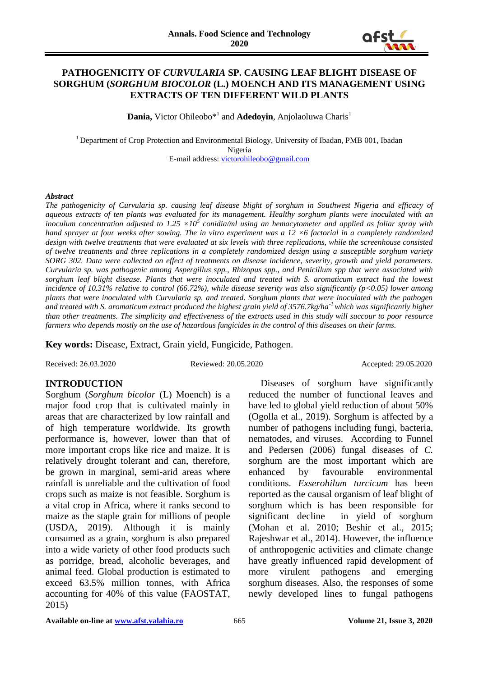

### **PATHOGENICITY OF** *CURVULARIA* **SP. CAUSING LEAF BLIGHT DISEASE OF SORGHUM (***SORGHUM BIOCOLOR* **(L.) MOENCH AND ITS MANAGEMENT USING EXTRACTS OF TEN DIFFERENT WILD PLANTS**

**Dania,** Victor Ohileobo\*1 and **Adedoyin**, Anjolaoluwa Charis<sup>1</sup>

<sup>1</sup> Department of Crop Protection and Environmental Biology, University of Ibadan, PMB 001, Ibadan Nigeria E-mail address: [victorohileobo@gmail.com](mailto:victorohileobo@gmail.com)

#### *Abstract*

*The pathogenicity of Curvularia sp. causing leaf disease blight of sorghum in Southwest Nigeria and efficacy of aqueous extracts of ten plants was evaluated for its management. Healthy sorghum plants were inoculated with an inoculum concentration adjusted to 1.25 ×10<sup>5</sup> conidia/ml using an hemacytometer and applied as foliar spray with hand sprayer at four weeks after sowing. The in vitro experiment was a 12 ×6 factorial in a completely randomized design with twelve treatments that were evaluated at six levels with three replications, while the screenhouse consisted of twelve treatments and three replications in a completely randomized design using a susceptible sorghum variety SORG 302. Data were collected on effect of treatments on disease incidence, severity, growth and yield parameters. Curvularia sp. was pathogenic among Aspergillus spp., Rhizopus spp., and Penicillum spp that were associated with*  sorghum leaf blight disease. Plants that were inoculated and treated with S. aromaticum extract had the lowest *incidence of 10.31% relative to control (66.72%), while disease severity was also significantly (p<0.05) lower among plants that were inoculated with Curvularia sp. and treated. Sorghum plants that were inoculated with the pathogen and treated with S. aromaticum extract produced the highest grain yield of 3576.7kg/ha-1 which was significantly higher than other treatments. The simplicity and effectiveness of the extracts used in this study will succour to poor resource farmers who depends mostly on the use of hazardous fungicides in the control of this diseases on their farms.*

**Key words:** Disease, Extract, Grain yield, Fungicide, Pathogen.

Received: 26.03.2020 Reviewed: 20.05.2020 Accepted: 29.05.2020

# **INTRODUCTION**

Sorghum (*Sorghum bicolor* (L) Moench) is a major food crop that is cultivated mainly in areas that are characterized by low rainfall and of high temperature worldwide. Its growth performance is, however, lower than that of more important crops like rice and maize. It is relatively drought tolerant and can, therefore, be grown in marginal, semi-arid areas where rainfall is unreliable and the cultivation of food crops such as maize is not feasible. Sorghum is a vital crop in Africa, where it ranks second to maize as the staple grain for millions of people (USDA, 2019). Although it is mainly consumed as a grain, sorghum is also prepared into a wide variety of other food products such as porridge, bread, alcoholic beverages, and animal feed. Global production is estimated to exceed 63.5% million tonnes, with Africa accounting for 40% of this value (FAOSTAT, 2015)

 Diseases of sorghum have significantly reduced the number of functional leaves and have led to global yield reduction of about 50% (Ogolla et al., 2019). Sorghum is affected by a number of pathogens including fungi, bacteria, nematodes, and viruses. According to Funnel and Pedersen (2006) fungal diseases of *C.*  sorghum are the most important which are enhanced by favourable environmental conditions. *Exserohilum turcicum* has been reported as the causal organism of leaf blight of sorghum which is has been responsible for significant decline in yield of sorghum (Mohan et al. 2010; Beshir et al., 2015; Rajeshwar et al., 2014). However, the influence of anthropogenic activities and climate change have greatly influenced rapid development of more virulent pathogens and emerging sorghum diseases. Also, the responses of some newly developed lines to fungal pathogens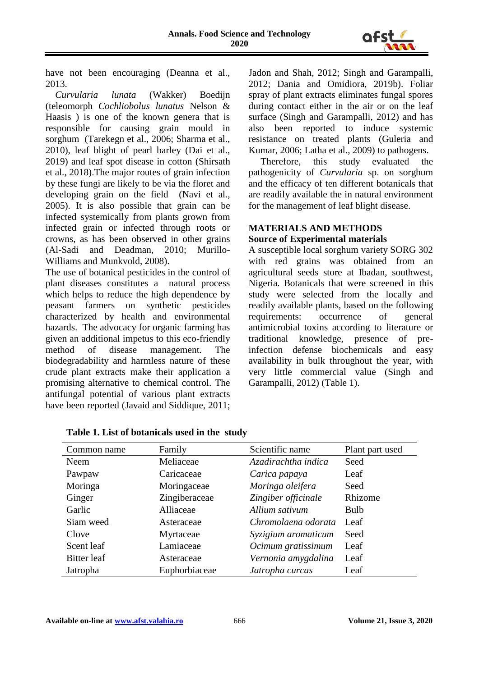

have not been encouraging (Deanna et al., 2013.

 *Curvularia lunata* (Wakker) Boedijn (teleomorph *Cochliobolus lunatus* Nelson & Haasis ) is one of the known genera that is responsible for causing grain mould in sorghum (Tarekegn et al., 2006; Sharma et al., 2010), leaf blight of pearl barley (Dai et al., 2019) and leaf spot disease in cotton (Shirsath et al., 2018).The major routes of grain infection by these fungi are likely to be via the floret and developing grain on the field (Navi et al., 2005). It is also possible that grain can be infected systemically from plants grown from infected grain or infected through roots or crowns, as has been observed in other grains (Al-Sadi and Deadman, 2010; Murillo-Williams and Munkvold, 2008).

The use of botanical pesticides in the control of plant diseases constitutes a natural process which helps to reduce the high dependence by peasant farmers on synthetic pesticides characterized by health and environmental hazards. The advocacy for organic farming has given an additional impetus to this eco-friendly method of disease management. The biodegradability and harmless nature of these crude plant extracts make their application a promising alternative to chemical control. The antifungal potential of various plant extracts have been reported (Javaid and Siddique, 2011; Jadon and Shah, 2012; Singh and Garampalli, 2012; Dania and Omidiora, 2019b). Foliar spray of plant extracts eliminates fungal spores during contact either in the air or on the leaf surface (Singh and Garampalli, 2012) and has also been reported to induce systemic resistance on treated plants (Guleria and Kumar, 2006; Latha et al., 2009) to pathogens.

 Therefore, this study evaluated the pathogenicity of *Curvularia* sp. on sorghum and the efficacy of ten different botanicals that are readily available the in natural environment for the management of leaf blight disease.

# **MATERIALS AND METHODS Source of Experimental materials**

A susceptible local sorghum variety SORG 302 with red grains was obtained from an agricultural seeds store at Ibadan, southwest, Nigeria. Botanicals that were screened in this study were selected from the locally and readily available plants, based on the following requirements: occurrence of general antimicrobial toxins according to literature or traditional knowledge, presence of preinfection defense biochemicals and easy availability in bulk throughout the year, with very little commercial value (Singh and Garampalli, 2012) (Table 1).

| Common name | Family        | Scientific name     | Plant part used |
|-------------|---------------|---------------------|-----------------|
| Neem        | Meliaceae     | Azadirachtha indica | Seed            |
| Pawpaw      | Caricaceae    | Carica papaya       | Leaf            |
| Moringa     | Moringaceae   | Moringa oleifera    | Seed            |
| Ginger      | Zingiberaceae | Zingiber officinale | Rhizome         |
| Garlic      | Alliaceae     | Allium sativum      | <b>Bulb</b>     |
| Siam weed   | Asteraceae    | Chromolaena odorata | Leaf            |
| Clove       | Myrtaceae     | Syzigium aromaticum | Seed            |
| Scent leaf  | Lamiaceae     | Ocimum gratissimum  | Leaf            |
| Bitter leaf | Asteraceae    | Vernonia amygdalina | Leaf            |
| Jatropha    | Euphorbiaceae | Jatropha curcas     | Leaf            |

**Table 1. List of botanicals used in the study**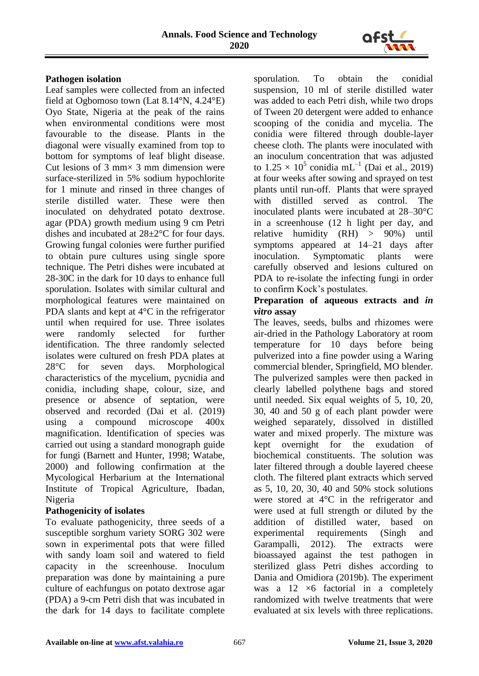

# **Pathogen isolation**

Leaf samples were collected from an infected field at Ogbomoso town (Lat 8.14°N, 4.24°E) Oyo State, Nigeria at the peak of the rains when environmental conditions were most favourable to the disease. Plants in the diagonal were visually examined from top to bottom for symptoms of leaf blight disease. Cut lesions of 3 mm $\times$  3 mm dimension were surface-sterilized in 5% sodium hypochlorite for 1 minute and rinsed in three changes of sterile distilled water. These were then inoculated on dehydrated potato dextrose. agar (PDA) growth medium using 9 cm Petri dishes and incubated at 28±2°C for four days. Growing fungal colonies were further purified to obtain pure cultures using single spore technique. The Petri dishes were incubated at 28-30C in the dark for 10 days to enhance full sporulation. Isolates with similar cultural and morphological features were maintained on PDA slants and kept at 4°C in the refrigerator until when required for use. Three isolates were randomly selected for further identification. The three randomly selected isolates were cultured on fresh PDA plates at 28°C for seven days. Morphological characteristics of the mycelium, pycnidia and conidia, including shape, colour, size, and presence or absence of septation, were observed and recorded (Dai et al. (2019) using a compound microscope 400x magnification. Identification of species was carried out using a standard monograph guide for fungi (Barnett and Hunter, 1998; Watabe, 2000) and following confirmation at the Mycological Herbarium at the International Institute of Tropical Agriculture, Ibadan, Nigeria

# **Pathogenicity of isolates**

To evaluate pathogenicity, three seeds of a susceptible sorghum variety SORG 302 were sown in experimental pots that were filled with sandy loam soil and watered to field capacity in the screenhouse. Inoculum preparation was done by maintaining a pure culture of eachfungus on potato dextrose agar (PDA) a 9-cm Petri dish that was incubated in the dark for 14 days to facilitate complete

sporulation. To obtain the conidial suspension, 10 ml of sterile distilled water was added to each Petri dish, while two drops of Tween 20 detergent were added to enhance scooping of the conidia and mycelia. The conidia were filtered through double-layer cheese cloth. The plants were inoculated with an inoculum concentration that was adjusted to  $1.25 \times 10^5$  conidia mL<sup>-1</sup> (Dai et al., 2019) at four weeks after sowing and sprayed on test plants until run-off. Plants that were sprayed with distilled served as control. The inoculated plants were incubated at 28–30°C in a screenhouse (12 h light per day, and relative humidity (RH) > 90%) until symptoms appeared at 14–21 days after inoculation. Symptomatic plants were carefully observed and lesions cultured on PDA to re-isolate the infecting fungi in order to confirm Kock's postulates.

# **Preparation of aqueous extracts and** *in vitro* **assay**

The leaves, seeds, bulbs and rhizomes were air-dried in the Pathology Laboratory at room temperature for 10 days before being pulverized into a fine powder using a Waring commercial blender, Springfield, MO blender. The pulverized samples were then packed in clearly labelled polythene bags and stored until needed. Six equal weights of 5, 10, 20, 30, 40 and 50 g of each plant powder were weighed separately, dissolved in distilled water and mixed properly. The mixture was kept overnight for the exudation of biochemical constituents. The solution was later filtered through a double layered cheese cloth. The filtered plant extracts which served as 5, 10, 20, 30, 40 and 50% stock solutions were stored at 4°C in the refrigerator and were used at full strength or diluted by the addition of distilled water, based on experimental requirements (Singh and Garampalli, 2012). The extracts were bioassayed against the test pathogen in sterilized glass Petri dishes according to Dania and Omidiora (2019b). The experiment was a  $12 \times 6$  factorial in a completely randomized with twelve treatments that were evaluated at six levels with three replications.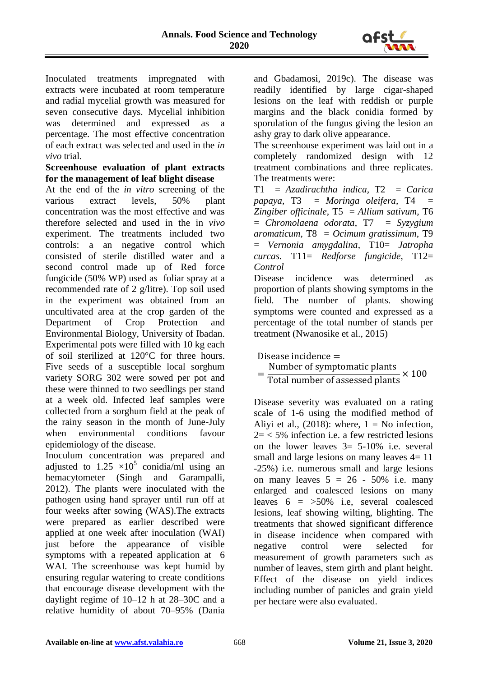

Inoculated treatments impregnated with extracts were incubated at room temperature and radial mycelial growth was measured for seven consecutive days. Mycelial inhibition was determined and expressed as a percentage. The most effective concentration of each extract was selected and used in the *in vivo* trial.

### **Screenhouse evaluation of plant extracts for the management of leaf blight disease**

At the end of the *in vitro* screening of the various extract levels, 50% plant concentration was the most effective and was therefore selected and used in the in *vivo*  experiment. The treatments included two controls: a an negative control which consisted of sterile distilled water and a second control made up of Red force fungicide (50% WP) used as foliar spray at a recommended rate of 2 g/litre). Top soil used in the experiment was obtained from an uncultivated area at the crop garden of the Department of Crop Protection and Environmental Biology, University of Ibadan. Experimental pots were filled with 10 kg each of soil sterilized at 120°C for three hours. Five seeds of a susceptible local sorghum variety SORG 302 were sowed per pot and these were thinned to two seedlings per stand at a week old. Infected leaf samples were collected from a sorghum field at the peak of the rainy season in the month of June-July when environmental conditions favour epidemiology of the disease.

Inoculum concentration was prepared and adjusted to 1.25  $\times$ 10<sup>5</sup> conidia/ml using an hemacytometer (Singh and Garampalli, 2012). The plants were inoculated with the pathogen using hand sprayer until run off at four weeks after sowing (WAS).The extracts were prepared as earlier described were applied at one week after inoculation (WAI) just before the appearance of visible symptoms with a repeated application at 6 WAI. The screenhouse was kept humid by ensuring regular watering to create conditions that encourage disease development with the daylight regime of 10–12 h at 28–30C and a relative humidity of about 70–95% (Dania and Gbadamosi, 2019c). The disease was readily identified by large cigar-shaped lesions on the leaf with reddish or purple margins and the black conidia formed by sporulation of the fungus giving the lesion an ashy gray to dark olive appearance.

The screenhouse experiment was laid out in a completely randomized design with 12 treatment combinations and three replicates. The treatments were:

T1 = *Azadirachtha indica,* T2 = *Carica papaya,* T3 = *Moringa oleifera,* T4 = *Zingiber officinale,* T5 = *Allium sativum,* T6 = *Chromolaena odorata*, T7 = *Syzygium aromaticum*, T8 = *Ocimum gratissimum*, T9 = *Vernonia amygdalina*, T10= *Jatropha curcas.* T11= *Redforse fungicide*, T12= *Control*

Disease incidence was determined as proportion of plants showing symptoms in the field. The number of plants. showing symptoms were counted and expressed as a percentage of the total number of stands per treatment (Nwanosike et al., 2015)

Disease incidence = = Number of symptomatic plants  $\frac{1}{\text{Total number of assessed plants}} \times 100$ 

Disease severity was evaluated on a rating scale of 1-6 using the modified method of Aliyi et al.,  $(2018)$ : where,  $1 = No$  infection,  $2 = 5\%$  infection i.e. a few restricted lesions on the lower leaves  $3=5-10\%$  i.e. several small and large lesions on many leaves  $4=11$ -25%) i.e. numerous small and large lesions on many leaves  $5 = 26 - 50\%$  i.e. many enlarged and coalesced lesions on many leaves  $6 = 50\%$  i.e, several coalesced lesions, leaf showing wilting, blighting. The treatments that showed significant difference in disease incidence when compared with negative control were selected for measurement of growth parameters such as number of leaves, stem girth and plant height. Effect of the disease on yield indices including number of panicles and grain yield per hectare were also evaluated.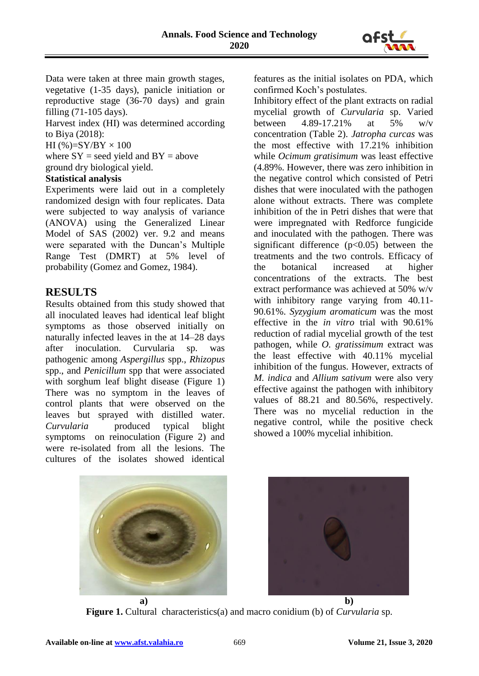

Data were taken at three main growth stages, vegetative (1-35 days), panicle initiation or reproductive stage (36-70 days) and grain filling (71-105 days).

Harvest index (HI) was determined according to Biya (2018):

HI (%)= $SY/BY \times 100$ 

where  $SY$  = seed yield and  $BY$  = above ground dry biological yield.

# **Statistical analysis**

Experiments were laid out in a completely randomized design with four replicates. Data were subjected to way analysis of variance (ANOVA) using the Generalized Linear Model of SAS (2002) ver. 9.2 and means were separated with the Duncan's Multiple Range Test (DMRT) at 5% level of probability (Gomez and Gomez, 1984).

# **RESULTS**

Results obtained from this study showed that all inoculated leaves had identical leaf blight symptoms as those observed initially on naturally infected leaves in the at 14–28 days after inoculation. Curvularia sp. was pathogenic among *Aspergillus* spp., *Rhizopus* spp., and *Penicillum* spp that were associated with sorghum leaf blight disease (Figure 1) There was no symptom in the leaves of control plants that were observed on the leaves but sprayed with distilled water. *Curvularia* produced typical blight symptoms on reinoculation (Figure 2) and were re-isolated from all the lesions. The cultures of the isolates showed identical

features as the initial isolates on PDA, which confirmed Koch's postulates.

Inhibitory effect of the plant extracts on radial mycelial growth of *Curvularia* sp. Varied between 4.89-17.21% at 5% w/v concentration (Table 2). *Jatropha curcas* was the most effective with 17.21% inhibition while *Ocimum gratisimum* was least effective (4.89%. However, there was zero inhibition in the negative control which consisted of Petri dishes that were inoculated with the pathogen alone without extracts. There was complete inhibition of the in Petri dishes that were that were impregnated with Redforce fungicide and inoculated with the pathogen. There was significant difference  $(p<0.05)$  between the treatments and the two controls. Efficacy of the botanical increased at higher concentrations of the extracts. The best extract performance was achieved at 50% w/v with inhibitory range varying from 40.11-90.61%. *Syzygium aromaticum* was the most effective in the *in vitro* trial with 90.61% reduction of radial mycelial growth of the test pathogen, while *O. gratissimum* extract was the least effective with 40.11% mycelial inhibition of the fungus. However, extracts of *M. indica* and *Allium sativum* were also very effective against the pathogen with inhibitory values of 88.21 and 80.56%, respectively. There was no mycelial reduction in the negative control, while the positive check showed a 100% mycelial inhibition.



**Figure 1.** Cultural characteristics(a) and macro conidium (b) of *Curvularia* sp.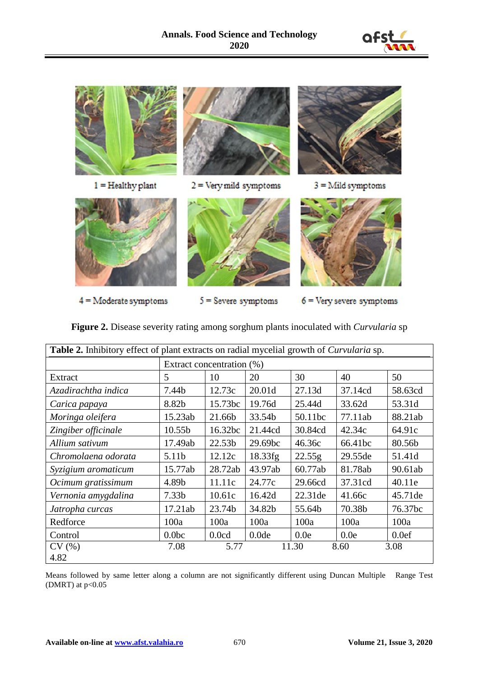



**Figure 2.** Disease severity rating among sorghum plants inoculated with *Curvularia* sp

| <b>Table 2.</b> Inhibitory effect of plant extracts on radial mycelial growth of <i>Curvularia</i> sp. |                           |                    |                   |         |         |         |  |  |
|--------------------------------------------------------------------------------------------------------|---------------------------|--------------------|-------------------|---------|---------|---------|--|--|
|                                                                                                        | Extract concentration (%) |                    |                   |         |         |         |  |  |
| Extract                                                                                                | 5                         | 10                 | 20                | 30      | 40      | 50      |  |  |
| Azadirachtha indica                                                                                    | 7.44b                     | 12.73c             | 20.01d            | 27.13d  | 37.14cd | 58.63cd |  |  |
| Carica papaya                                                                                          | 8.82b                     | 15.73bc            | 19.76d            | 25.44d  | 33.62d  | 53.31d  |  |  |
| Moringa oleifera                                                                                       | 15.23ab                   | 21.66b             | 33.54b            | 50.11bc | 77.11ab | 88.21ab |  |  |
| Zingiber officinale                                                                                    | 10.55b                    | 16.32bc            | 21.44cd           | 30.84cd | 42.34c  | 64.91c  |  |  |
| Allium sativum                                                                                         | 17.49ab                   | 22.53 <sub>b</sub> | 29.69bc           | 46.36c  | 66.41bc | 80.56b  |  |  |
| Chromolaena odorata                                                                                    | 5.11b                     | 12.12c             | 18.33fg           | 22.55g  | 29.55de | 51.41d  |  |  |
| Syzigium aromaticum                                                                                    | 15.77ab                   | 28.72ab            | 43.97ab           | 60.77ab | 81.78ab | 90.61ab |  |  |
| Ocimum gratissimum                                                                                     | 4.89b                     | 11.11c             | 24.77c            | 29.66cd | 37.31cd | 40.11e  |  |  |
| Vernonia amygdalina                                                                                    | 7.33 <sub>b</sub>         | 10.61c             | 16.42d            | 22.31de | 41.66c  | 45.71de |  |  |
| Jatropha curcas                                                                                        | 17.21ab                   | 23.74b             | 34.82b            | 55.64b  | 70.38b  | 76.37bc |  |  |
| Redforce                                                                                               | 100a                      | 100a               | 100a              | 100a    | 100a    | 100a    |  |  |
| Control                                                                                                | 0.0 <sub>b</sub>          | 0.0cd              | 0.0 <sub>de</sub> | 0.0e    | 0.0e    | 0.0ef   |  |  |
| CV(%)                                                                                                  | 7.08                      | 5.77               |                   | 11.30   | 8.60    | 3.08    |  |  |
| 4.82                                                                                                   |                           |                    |                   |         |         |         |  |  |

Means followed by same letter along a column are not significantly different using Duncan Multiple Range Test (DMRT) at  $p<0.05$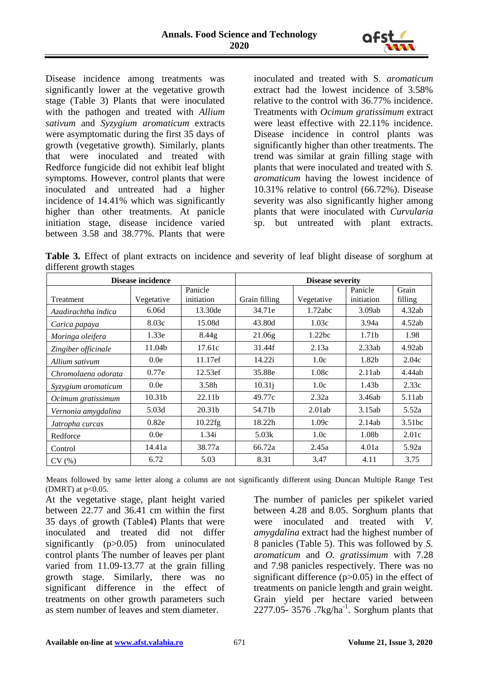

Disease incidence among treatments was significantly lower at the vegetative growth stage (Table 3) Plants that were inoculated with the pathogen and treated with *Allium sativum* and *Syzygium aromaticum* extracts were asymptomatic during the first 35 days of growth (vegetative growth). Similarly, plants that were inoculated and treated with Redforce fungicide did not exhibit leaf blight symptoms. However, control plants that were inoculated and untreated had a higher incidence of 14.41% which was significantly higher than other treatments. At panicle initiation stage, disease incidence varied between 3.58 and 38.77%. Plants that were

inoculated and treated with S. *aromaticum*  extract had the lowest incidence of 3.58% relative to the control with 36.77% incidence. Treatments with *Ocimum gratissimum* extract were least effective with 22.11% incidence. Disease incidence in control plants was significantly higher than other treatments. The trend was similar at grain filling stage with plants that were inoculated and treated with *S. aromaticum* having the lowest incidence of 10.31% relative to control (66.72%). Disease severity was also significantly higher among plants that were inoculated with *Curvularia* sp. but untreated with plant extracts.

**Table 3.** Effect of plant extracts on incidence and severity of leaf blight disease of sorghum at different growth stages

| Disease incidence   | <b>Disease severity</b> |                       |               |            |                       |                  |
|---------------------|-------------------------|-----------------------|---------------|------------|-----------------------|------------------|
| <b>Treatment</b>    | Vegetative              | Panicle<br>initiation | Grain filling | Vegetative | Panicle<br>initiation | Grain<br>filling |
| Azadirachtha indica | 6.06d                   | 13.30de               | 34.71e        | 1.72abc    | 3.09ab                | 4.32ab           |
| Carica papaya       | 8.03c                   | 15.08d                | 43.80d        | 1.03c      | 3.94a                 | 4.52ab           |
| Moringa oleifera    | 1.33e                   | 8.44 <sub>g</sub>     | 21.06g        | 1.22bc     | 1.71 <sub>b</sub>     | 1.98             |
| Zingiber officinale | 11.04b                  | 17.61c                | 31.44f        | 2.13a      | 2.33ab                | 4.92ab           |
| Allium sativum      | 0.0e                    | 11.17ef               | 14.22i        | 1.0c       | 1.82b                 | 2.04c            |
| Chromolaena odorata | 0.77e                   | 12.53 <sub>ef</sub>   | 35.88e        | 1.08c      | 2.11ab                | 4.44ab           |
| Syzygium aromaticum | 0.0e                    | 3.58h                 | 10.31j        | 1.0c       | 1.43 <sub>b</sub>     | 2.33c            |
| Ocimum gratissimum  | 10.31 <sub>b</sub>      | 22.11b                | 49.77c        | 2.32a      | 3.46ab                | 5.11ab           |
| Vernonia amygdalina | 5.03d                   | 20.31b                | 54.71b        | 2.01ab     | 3.15ab                | 5.52a            |
| Jatropha curcas     | 0.82e                   | $10.22$ fg            | 18.22h        | 1.09c      | 2.14ab                | 3.51bc           |
| Redforce            | 0.0e                    | 1.34i                 | 5.03k         | 1.0c       | 1.08b                 | 2.01c            |
| Control             | 14.41a                  | 38.77a                | 66.72a        | 2.45a      | 4.01a                 | 5.92a            |
| CV(%)               | 6.72                    | 5.03                  | 8.31          | 3.47       | 4.11                  | 3.75             |

Means followed by same letter along a column are not significantly different using Duncan Multiple Range Test (DMRT) at  $p<0.05$ .

At the vegetative stage, plant height varied between 22.77 and 36.41 cm within the first 35 days of growth (Table4) Plants that were inoculated and treated did not differ significantly (p>0.05) from uninoculated control plants The number of leaves per plant varied from 11.09-13.77 at the grain filling growth stage. Similarly, there was no significant difference in the effect of treatments on other growth parameters such as stem number of leaves and stem diameter.

The number of panicles per spikelet varied between 4.28 and 8.05. Sorghum plants that were inoculated and treated with *V. amygdalina* extract had the highest number of 8 panicles (Table 5). This was followed by *S. aromaticum* and *O. gratissimum* with 7.28 and 7.98 panicles respectively. There was no significant difference (p>0.05) in the effect of treatments on panicle length and grain weight. Grain yield per hectare varied between  $2277.05 - 3576$ . 7kg/ha<sup>-1</sup>. Sorghum plants that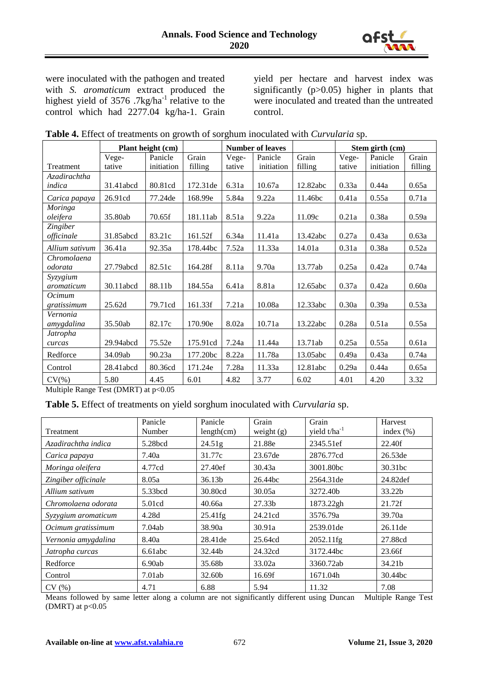

were inoculated with the pathogen and treated with *S. aromaticum* extract produced the highest yield of  $3576$ . 7kg/ha<sup>-1</sup> relative to the control which had 2277.04 kg/ha-1. Grain yield per hectare and harvest index was significantly (p>0.05) higher in plants that were inoculated and treated than the untreated control.

|                 | Plant height (cm) |            |          | <b>Number of leaves</b> |            |          |        | Stem girth (cm) |         |
|-----------------|-------------------|------------|----------|-------------------------|------------|----------|--------|-----------------|---------|
|                 | Vege-             | Panicle    | Grain    | Vege-                   | Panicle    | Grain    | Vege-  | Panicle         | Grain   |
| Treatment       | tative            | initiation | filling  | tative                  | initiation | filling  | tative | initiation      | filling |
| Azadirachtha    |                   |            |          |                         |            |          |        |                 |         |
| indica          | 31.41abcd         | 80.81cd    | 172.31de | 6.31a                   | 10.67a     | 12.82abc | 0.33a  | 0.44a           | 0.65a   |
| Carica papaya   | 26.91cd           | 77.24de    | 168.99e  | 5.84a                   | 9.22a      | 11.46bc  | 0.41a  | 0.55a           | 0.71a   |
| Moringa         |                   |            |          |                         |            |          |        |                 |         |
| oleifera        | 35.80ab           | 70.65f     | 181.11ab | 8.51a                   | 9.22a      | 11.09c   | 0.21a  | 0.38a           | 0.59a   |
| <b>Zingiber</b> |                   |            |          |                         |            |          |        |                 |         |
| officinale      | 31.85abcd         | 83.21c     | 161.52f  | 6.34a                   | 11.41a     | 13.42abc | 0.27a  | 0.43a           | 0.63a   |
| Allium sativum  | 36.41a            | 92.35a     | 178.44bc | 7.52a                   | 11.33a     | 14.01a   | 0.31a  | 0.38a           | 0.52a   |
| Chromolaena     |                   |            |          |                         |            |          |        |                 |         |
| odorata         | 27.79abcd         | 82.51c     | 164.28f  | 8.11a                   | 9.70a      | 13.77ab  | 0.25a  | 0.42a           | 0.74a   |
| Syzygium        |                   |            |          |                         |            |          |        |                 |         |
| aromaticum      | 30.11abcd         | 88.11b     | 184.55a  | 6.41a                   | 8.81a      | 12.65abc | 0.37a  | 0.42a           | 0.60a   |
| Ocimum          |                   |            |          |                         |            |          |        |                 |         |
| gratissimum     | 25.62d            | 79.71cd    | 161.33f  | 7.21a                   | 10.08a     | 12.33abc | 0.30a  | 0.39a           | 0.53a   |
| Vernonia        |                   |            |          |                         |            |          |        |                 |         |
| amygdalina      | 35.50ab           | 82.17c     | 170.90e  | 8.02a                   | 10.71a     | 13.22abc | 0.28a  | 0.51a           | 0.55a   |
| Jatropha        |                   |            |          |                         |            |          |        |                 |         |
| curcas          | 29.94abcd         | 75.52e     | 175.91cd | 7.24a                   | 11.44a     | 13.71ab  | 0.25a  | 0.55a           | 0.61a   |
| Redforce        | 34.09ab           | 90.23a     | 177.20bc | 8.22a                   | 11.78a     | 13.05abc | 0.49a  | 0.43a           | 0.74a   |
| Control         | 28.41abcd         | 80.36cd    | 171.24e  | 7.28a                   | 11.33a     | 12.81abc | 0.29a  | 0.44a           | 0.65a   |
| $CV(\% )$       | 5.80              | 4.45       | 6.01     | 4.82                    | 3.77       | 6.02     | 4.01   | 4.20            | 3.32    |

|  |  | Table 4. Effect of treatments on growth of sorghum inoculated with Curvularia sp. |  |  |  |  |  |  |
|--|--|-----------------------------------------------------------------------------------|--|--|--|--|--|--|
|--|--|-----------------------------------------------------------------------------------|--|--|--|--|--|--|

Multiple Range Test (DMRT) at p<0.05

**Table 5.** Effect of treatments on yield sorghum inoculated with *Curvularia* sp.

| Treatment           | Panicle<br>Number | Panicle<br>length(cm) | Grain<br>weight $(g)$ | Grain<br>yield $t/ha^{-1}$ | Harvest<br>index $(\%)$ |
|---------------------|-------------------|-----------------------|-----------------------|----------------------------|-------------------------|
| Azadirachtha indica | 5.28bcd           | 24.51 <sub>g</sub>    | 21.88e                | 2345.51ef                  | 22.40f                  |
| Carica papaya       | 7.40a             | 31.77c                | 23.67de               | 2876.77cd                  | 26.53de                 |
| Moringa oleifera    | 4.77cd            | 27.40ef               | 30.43a                | 3001.80bc                  | 30.31bc                 |
| Zingiber officinale | 8.05a             | 36.13 <sub>b</sub>    | 26.44bc               | 2564.31de                  | 24.82def                |
| Allium sativum      | 5.33bcd           | 30.80cd               | 30.05a                | 3272.40b                   | 33.22b                  |
| Chromolaena odorata | 5.01cd            | 40.66a                | 27.33 <sub>b</sub>    | 1873.22gh                  | 21.72f                  |
| Syzygium aromaticum | 4.28d             | $25.41$ fg            | 24.21cd               | 3576.79a                   | 39.70a                  |
| Ocimum gratissimum  | 7.04ab            | 38.90a                | 30.91a                | 2539.01de                  | 26.11de                 |
| Vernonia amygdalina | 8.40a             | 28.41de               | 25.64cd               | 2052.11fg                  | 27.88cd                 |
| Jatropha curcas     | 6.61abc           | 32.44b                | 24.32cd               | 3172.44bc                  | 23.66f                  |
| Redforce            | 6.90ab            | 35.68b                | 33.02a                | 3360.72ab                  | 34.21b                  |
| Control             | 7.01ab            | 32.60b                | 16.69f                | 1671.04h                   | 30.44bc                 |
| CV(%)               | 4.71              | 6.88                  | 5.94                  | 11.32                      | 7.08                    |

Means followed by same letter along a column are not significantly different using Duncan Multiple Range Test (DMRT) at  $p<0.05$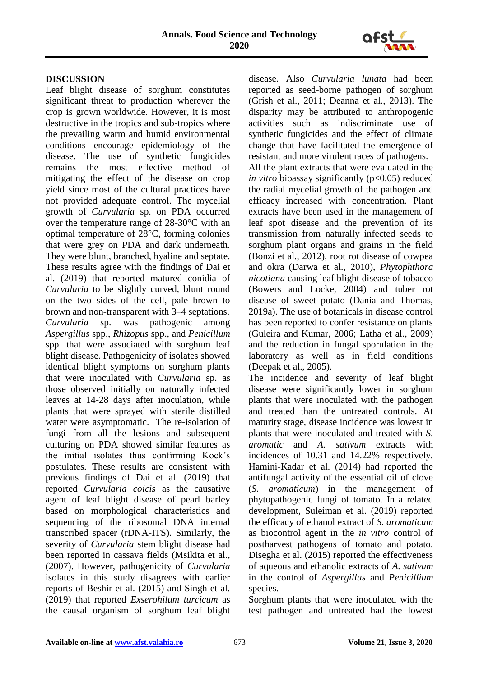

## **DISCUSSION**

Leaf blight disease of sorghum constitutes significant threat to production wherever the crop is grown worldwide. However, it is most destructive in the tropics and sub-tropics where the prevailing warm and humid environmental conditions encourage epidemiology of the disease. The use of synthetic fungicides remains the most effective method of mitigating the effect of the disease on crop yield since most of the cultural practices have not provided adequate control. The mycelial growth of *Curvularia* sp. on PDA occurred over the temperature range of 28-30°C with an optimal temperature of 28°C, forming colonies that were grey on PDA and dark underneath. They were blunt, branched, hyaline and septate. These results agree with the findings of Dai et al. (2019) that reported matured conidia of *Curvularia* to be slightly curved, blunt round on the two sides of the cell, pale brown to brown and non-transparent with 3–4 septations. *Curvularia* sp. was pathogenic among *Aspergillus* spp., *Rhizopus* spp., and *Penicillum*  spp. that were associated with sorghum leaf blight disease. Pathogenicity of isolates showed identical blight symptoms on sorghum plants that were inoculated with *Curvularia* sp. as those observed initially on naturally infected leaves at 14-28 days after inoculation, while plants that were sprayed with sterile distilled water were asymptomatic. The re-isolation of fungi from all the lesions and subsequent culturing on PDA showed similar features as the initial isolates thus confirming Kock's postulates. These results are consistent with previous findings of Dai et al. (2019) that reported *Curvularia coicis* as the causative agent of leaf blight disease of pearl barley based on morphological characteristics and sequencing of the ribosomal DNA internal transcribed spacer (rDNA-ITS). Similarly, the severity of *Curvularia* stem blight disease had been reported in cassava fields (Msikita et al., (2007). However, pathogenicity of *Curvularia*  isolates in this study disagrees with earlier reports of Beshir et al. (2015) and Singh et al. (2019) that reported *Exserohilum turcicum* as the causal organism of sorghum leaf blight disease. Also *Curvularia lunata* had been reported as seed-borne pathogen of sorghum (Grish et al., 2011; Deanna et al., 2013). The disparity may be attributed to anthropogenic activities such as indiscriminate use of synthetic fungicides and the effect of climate change that have facilitated the emergence of resistant and more virulent races of pathogens.

All the plant extracts that were evaluated in the *in vitro* bioassay significantly (p<0.05) reduced the radial mycelial growth of the pathogen and efficacy increased with concentration. Plant extracts have been used in the management of leaf spot disease and the prevention of its transmission from naturally infected seeds to sorghum plant organs and grains in the field (Bonzi et al., 2012), root rot disease of cowpea and okra (Darwa et al., 2010), *Phytophthora nicotiana* causing leaf blight disease of tobacco (Bowers and Locke, 2004) and tuber rot disease of sweet potato (Dania and Thomas, 2019a). The use of botanicals in disease control has been reported to confer resistance on plants (Guleira and Kumar, 2006; Latha et al., 2009) and the reduction in fungal sporulation in the laboratory as well as in field conditions (Deepak et al., 2005).

The incidence and severity of leaf blight disease were significantly lower in sorghum plants that were inoculated with the pathogen and treated than the untreated controls. At maturity stage, disease incidence was lowest in plants that were inoculated and treated with *S. aromatic* and *A. sativum* extracts with incidences of 10.31 and 14.22% respectively. Hamini-Kadar et al. (2014) had reported the antifungal activity of the essential oil of clove (*S. aromaticum*) in the management of phytopathogenic fungi of tomato. In a related development, Suleiman et al. (2019) reported the efficacy of ethanol extract of *S. aromaticum* as biocontrol agent in the *in vitro* control of postharvest pathogens of tomato and potato. Disegha et al. (2015) reported the effectiveness of aqueous and ethanolic extracts of *A. sativum* in the control of *Aspergillus* and *Penicillium* species.

Sorghum plants that were inoculated with the test pathogen and untreated had the lowest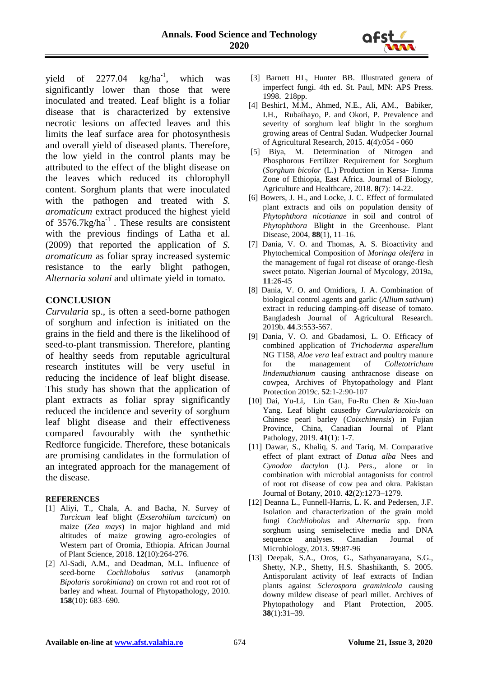

yield of  $2277.04$  kg/ha<sup>-1</sup>, which was significantly lower than those that were inoculated and treated. Leaf blight is a foliar disease that is characterized by extensive necrotic lesions on affected leaves and this limits the leaf surface area for photosynthesis and overall yield of diseased plants. Therefore, the low yield in the control plants may be attributed to the effect of the blight disease on the leaves which reduced its chlorophyll content. Sorghum plants that were inoculated with the pathogen and treated with *S. aromaticum* extract produced the highest yield of  $3576.7 \text{kg/ha}^{-1}$ . These results are consistent with the previous findings of Latha et al. (2009) that reported the application of *S. aromaticum* as foliar spray increased systemic resistance to the early blight pathogen, *Alternaria solani* and ultimate yield in tomato.

# **CONCLUSION**

*Curvularia* sp., is often a seed-borne pathogen of sorghum and infection is initiated on the grains in the field and there is the likelihood of seed-to-plant transmission. Therefore, planting of healthy seeds from reputable agricultural research institutes will be very useful in reducing the incidence of leaf blight disease. This study has shown that the application of plant extracts as foliar spray significantly reduced the incidence and severity of sorghum leaf blight disease and their effectiveness compared favourably with the synthethic Redforce fungicide. Therefore, these botanicals are promising candidates in the formulation of an integrated approach for the management of the disease.

#### **REFERENCES**

- [1] Aliyi, T., Chala, A. and Bacha, N. Survey of *Turcicum* leaf blight (*Exserohilum turcicum*) on maize (*Zea mays*) in major highland and mid altitudes of maize growing agro-ecologies of Western part of Oromia, Ethiopia. African Journal of Plant Science, 2018. **12**(10):264-276.
- [2] Al-Sadi, A.M., and Deadman, M.L. Influence of seed-borne *Cochliobolus sativus* (anamorph *Bipolaris sorokiniana*) on crown rot and root rot of barley and wheat. Journal of Phytopathology, 2010. **158**(10): 683–690.
- [3] Barnett HL, Hunter BB. Illustrated genera of imperfect fungi. 4th ed. St. Paul, MN: APS Press. 1998. 218pp.
- [4] Beshir1, M.M., Ahmed, N.E., Ali, AM., Babiker, I.H., Rubaihayo, P. and Okori, P. Prevalence and severity of sorghum leaf blight in the sorghum growing areas of Central Sudan. Wudpecker Journal of Agricultural Research, 2015. **4**(4):054 - 060
- [5] Biya, M. Determination of Nitrogen and Phosphorous Fertilizer Requirement for Sorghum (*Sorghum bicolor* (L.) Production in Kersa- Jimma Zone of Ethiopia, East Africa. Journal of Biology, Agriculture and Healthcare, 2018. **8**(7): 14-22.
- [6] Bowers, J. H., and Locke, J. C. Effect of formulated plant extracts and oils on population density of *Phytophthora nicotianae* in soil and control of *Phytophthora* Blight in the Greenhouse. Plant Disease, 2004, **88**(1), 11–16.
- [7] Dania, V. O. and Thomas, A. S. Bioactivity and Phytochemical Composition of *Moringa oleifera* in the management of fugal rot disease of orange-flesh sweet potato. Nigerian Journal of Mycology, 2019a, **11**:26-45
- [8] Dania, V. O. and Omidiora, J. A. Combination of biological control agents and garlic (*Allium sativum*) extract in reducing damping-off disease of tomato. Bangladesh Journal of Agricultural Research. 2019b. **44**.3:553-567.
- [9] Dania, V. O. and Gbadamosi, L. O. Efficacy of combined application of *Trichoderma asperellum* NG T158, *Aloe vera* leaf extract and poultry manure<br>for the management of *Colletotrichum* for the management of *Colletotrichum lindemuthianum* causing anthracnose disease on cowpea, Archives of Phytopathology and Plant Protection 2019c. **52**:1-2:90-107
- [10] Dai, Yu-Li, Lin Gan, Fu-Ru Chen & Xiu-Juan Yang. Leaf blight causedby *Curvulariacoicis* on Chinese pearl barley (*Coixchinensis*) in Fujian Province, China, Canadian Journal of Plant Pathology, 2019. **41**(1): 1-7.
- [11] Dawar, S., Khaliq, S. and Tariq, M. Comparative effect of plant extract of *Datua alba* Nees and *Cynodon dactylon* (L). Pers., alone or in combination with microbial antagonists for control of root rot disease of cow pea and okra. Pakistan Journal of Botany, 2010. **42**(2):1273–1279.
- [12] Deanna L., Funnell-Harris, L. K. and Pedersen, J.F. Isolation and characterization of the grain mold fungi *Cochliobolus* and *Alternaria* spp. from sorghum using semiselective media and DNA sequence analyses. Canadian Journal of Microbiology, 2013. **59**:87-96
- [13] Deepak, S.A., Oros, G., Sathyanarayana, S.G., Shetty, N.P., Shetty, H.S. Shashikanth, S. 2005. Antisporulant activity of leaf extracts of Indian plants against *Sclerospora graminicola* causing downy mildew disease of pearl millet. Archives of Phytopathology and Plant Protection, 2005. **38**(1):31–39.